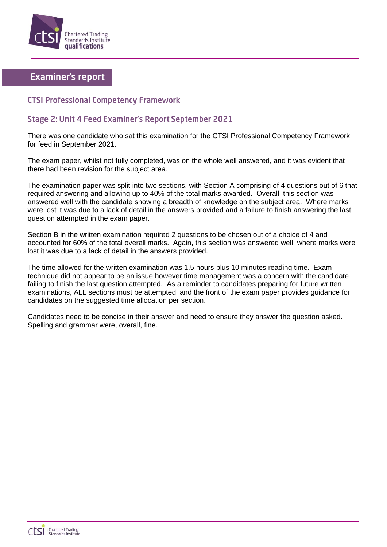

## **Examiner's report**

## **CTSI Professional Competency Framework**

## Stage 2: Unit 4 Feed Examiner's Report September 2021

There was one candidate who sat this examination for the CTSI Professional Competency Framework for feed in September 2021.

The exam paper, whilst not fully completed, was on the whole well answered, and it was evident that there had been revision for the subject area.

The examination paper was split into two sections, with Section A comprising of 4 questions out of 6 that required answering and allowing up to 40% of the total marks awarded. Overall, this section was answered well with the candidate showing a breadth of knowledge on the subject area. Where marks were lost it was due to a lack of detail in the answers provided and a failure to finish answering the last question attempted in the exam paper.

Section B in the written examination required 2 questions to be chosen out of a choice of 4 and accounted for 60% of the total overall marks. Again, this section was answered well, where marks were lost it was due to a lack of detail in the answers provided.

The time allowed for the written examination was 1.5 hours plus 10 minutes reading time. Exam technique did not appear to be an issue however time management was a concern with the candidate failing to finish the last question attempted. As a reminder to candidates preparing for future written examinations, ALL sections must be attempted, and the front of the exam paper provides guidance for candidates on the suggested time allocation per section.

Candidates need to be concise in their answer and need to ensure they answer the question asked. Spelling and grammar were, overall, fine.